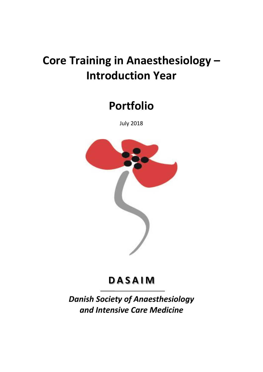# **Core Training in Anaesthesiology – Introduction Year**

# **Portfolio**

July 2018



# **D A S A I M**

*Danish Society of Anaesthesiology and Intensive Care Medicine*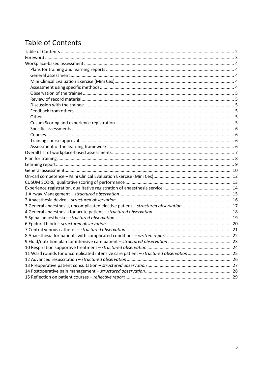# <span id="page-1-0"></span>**Table of Contents**

| 11 Ward rounds for uncomplicated intensive care patient - structured observation 25 |  |
|-------------------------------------------------------------------------------------|--|
|                                                                                     |  |
|                                                                                     |  |
|                                                                                     |  |
|                                                                                     |  |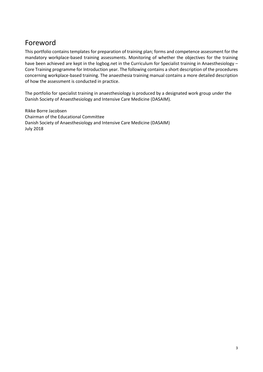# <span id="page-2-0"></span>Foreword

This portfolio contains templates for preparation of training plan; forms and competence assessment for the mandatory workplace-based training assessments. Monitoring of whether the objectives for the training have been achieved are kept in the logbog.net in the Curriculum for Specialist training in Anaesthesiology – Core Training programme for Introduction year. The following contains a short description of the procedures concerning workplace-based training. The anaesthesia training manual contains a more detailed description of how the assessment is conducted in practice.

The portfolio for specialist training in anaesthesiology is produced by a designated work group under the Danish Society of Anaesthesiology and Intensive Care Medicine (DASAIM).

Rikke Borre Jacobsen Chairman of the Educational Committee Danish Society of Anaesthesiology and Intensive Care Medicine (DASAIM) July 2018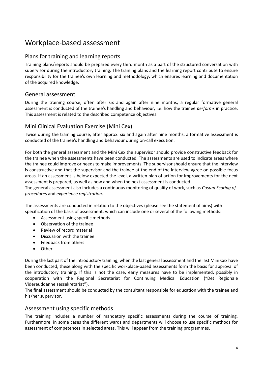# <span id="page-3-0"></span>Workplace-based assessment

### <span id="page-3-1"></span>Plans for training and learning reports

Training plans/reports should be prepared every third month as a part of the structured conversation with supervisor during the introductory training. The training plans and the learning report contribute to ensure responsibility for the trainee's own learning and methodology, which ensures learning and documentation of the acquired knowledge.

### <span id="page-3-2"></span>General assessment

During the training course, often after six and again after nine months, a regular formative general assessment is conducted of the trainee's handling and behaviour, i.e. how the trainee *performs* in practice. This assessment is related to the described competence objectives.

### <span id="page-3-3"></span>Mini Clinical Evaluation Exercise (Mini Cex)

Twice during the training course, after approx. six and again after nine months, a formative assessment is conducted of the trainee's handling and behaviour during on-call execution.

For both the general assessment and the Mini Cex the supervisor should provide constructive feedback for the trainee when the assessments have been conducted. The assessments are used to indicate areas where the trainee could improve or needs to make improvements. The supervisor should ensure that the interview is constructive and that the supervisor and the trainee at the end of the interview agree on possible focus areas. If an assessment is below expected the level, a written plan of action for improvements for the next assessment is prepared, as well as how and when the next assessment is conducted.

The general assessment also includes a continuous monitoring of quality of work, such as *Cusum Scoring of procedures* and *experience registration*.

The assessments are conducted in relation to the objectives (please see the statement of aims) with specification of the basis of assessment, which can include one or several of the following methods:

- Assessment using specific methods
- Observation of the trainee
- Review of record material
- Discussion with the trainee
- Feedback from others
- Other

During the last part of the introductory training, when the last general assessment and the last Mini Cex have been conducted, these along with the specific workplace-based assessments form the basis for approval of the introductory training. If this is not the case, early measures have to be implemented, possibly in cooperation with the Regional Secretariat for Continuing Medical Education ("Det Regionale Videreuddannelsessekretariat").

The final assessment should be conducted by the consultant responsible for education with the trainee and his/her supervisor.

### <span id="page-3-4"></span>Assessment using specific methods

The training includes a number of mandatory specific assessments during the course of training. Furthermore, in some cases the different wards and departments will choose to use specific methods for assessment of competences in selected areas. This will appear from the training programmes.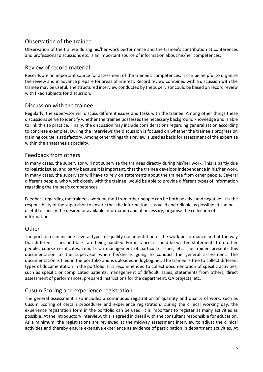### <span id="page-4-0"></span>Observation of the trainee

Observation of the trainee during his/her work performance and the trainee's contribution at conferences and professional discussions etc. is an important source of information about his/her competences.

### <span id="page-4-1"></span>Review of record material

Records are an important source for assessment of the trainee's competences. It can be helpful to organise the review and in advance prepare for areas of interest. Record review combined with a discussion with the trainee may be useful. The structured interview conducted by the supervisor could be based on record review with fixed subjects for discussion.

### <span id="page-4-2"></span>Discussion with the trainee

Regularly, the supervisor will discuss different issues and tasks with the trainee. Among other things these discussions serve to identify whether the trainee possesses the necessary background knowledge and is able to link this to practice. Finally, the discussion may include considerations regarding generalisation according to concrete examples. During the interviews the discussion is focused on whether the trainee's progress on training course is satisfactory. Among other things this review is used as basis for assessment of the expertise within the anaesthesia specialty.

### <span id="page-4-3"></span>Feedback from others

In many cases, the supervisor will not supervise the trainees directly during his/her work. This is partly due to logistic issues, and partly because it is important, that the trainee develops independence in his/her work. In many cases, the supervisor will have to rely on statements about the trainee from other people. Several different people, who work closely with the trainee, would be able to provide different types of information regarding the trainee's competences.

Feedback regarding the trainee's work method from other people can be both positive and negative. It is the responsibility of the supervisor to ensure that the information is as valid and reliable as possible. It can be useful to specify the desired or available information and, if necessary, organise the collection of information.

### <span id="page-4-4"></span>Other

The portfolio can include several types of quality documentation of the work performance and of the way that different issues and tasks are being handled. For instance, it could be written statements from other people, course certificates, reports on management of particular issues, etc. The trainee presents this documentation to the supervisor when he/she is going to conduct the general assessment. The documentation is filed in the portfolio and is uploaded in logbog.net. The trainee is free to collect different types of documentation in the portfolio. It is recommended to collect documentation of specific activities, such as specific or complicated patients, management of difficult issues, statements from others, direct assessment of performances, prepared instructions for the department, QA projects, etc.

### <span id="page-4-5"></span>Cusum Scoring and experience registration

The general assessment also includes a continuous registration of quantity and quality of work, such as Cusum Scoring of certain procedures and experience registration. During the clinical working day, the experience registration form in the portfolio can be used. It is important to register as many activities as possible. At the introductory interview, this is agreed in detail with the consultant responsible for education. As a minimum, the registrations are reviewed at the midway assessment interview to adjust the clinical activities and thereby ensure extensive experience as evidence of participation in department activities. At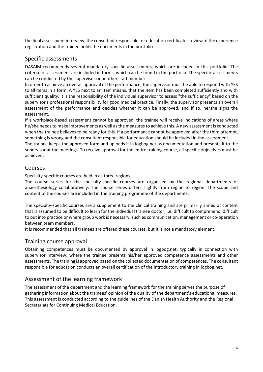the final assessment interview, the consultant responsible for education certificates review of the experience registration and the trainee holds the documents in the portfolio.

### <span id="page-5-0"></span>Specific assessments

DASAIM recommends several mandatory specific assessments, which are included in this portfolio. The criteria for assessment are included in forms, which can be found in the portfolio. The specific assessments can be conducted by the supervisor or another staff member.

In order to achieve an overall approval of the performance, the supervisor must be able to respond with YES to all items in a form. A YES next to an item means, that the item has been completed sufficiently and with sufficient quality. It is the responsibility of the individual supervisor to assess "the sufficiency" based on the supervisor's professional responsibility for good medical practice. Finally, the supervisor presents an overall assessment of the performance and decides whether it can be approved, and if so, he/she signs the assessment.

If a workplace-based assessment cannot be approved, the trainee will receive indications of areas where he/she needs to make improvements as well as the measures to achieve this. A new assessment is conducted when the trainee believes to be ready for this. If a performance cannot be approved after the third attempt, something is wrong and the consultant responsible for education should be included in the assessment.

The trainee keeps the approved form and uploads it in logbog.net as documentation and presents it to the supervisor at the meetings. To receive approval for the entire training course, all specific objectives must be achieved.

### <span id="page-5-1"></span>Courses

Specialty-specific courses are held in all three regions.

The course series for the specialty-specific courses are organised by the regional departments of anaesthesiology collaboratively. The course series differs slightly from region to region. The scope and content of the courses are included in the training programme of the departments.

The specialty-specific courses are a supplement to the clinical training and are primarily aimed at content that is assumed to be difficult to learn for the individual trainee doctor, i.e. difficult to comprehend, difficult to put into practice or where group work is necessary, such as communication, management or co-operation between team members.

<span id="page-5-2"></span>It is recommended that all trainees are offered these courses, but it is not a mandatory element.

### Training course approval

Obtaining competences must be documented by approval in logbog.net, typically in connection with supervisor interview, where the trainee presents his/her approved competence assessments and other assessments. The training is approved based on the collected documentation of competences. The consultant responsible for education conducts an overall certification of the introductory training in logbog.net.

### <span id="page-5-3"></span>Assessment of the learning framework

The assessment of the department and the learning framework for the training serves the purpose of gathering information about the trainees' opinion of the quality of the department's educational measures. This assessment is conducted according to the guidelines of the Danish Health Authority and the Regional Secretariats for Continuing Medical Education.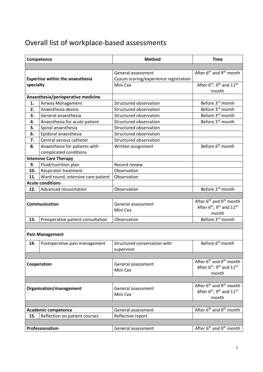# <span id="page-6-0"></span>Overall list of workplace-based assessments

| Competence |                                                         | <b>Method</b>                                               | <b>Time</b>                                                                                                              |  |  |
|------------|---------------------------------------------------------|-------------------------------------------------------------|--------------------------------------------------------------------------------------------------------------------------|--|--|
|            |                                                         |                                                             |                                                                                                                          |  |  |
|            | <b>Expertise within the anaesthesia</b>                 | General assessment<br>Cusum scoring/experience registration | After 6 <sup>th</sup> and 9 <sup>th</sup> month                                                                          |  |  |
| specialty  |                                                         | Mini Cex                                                    | After 6 <sup>th</sup> , 9 <sup>th</sup> and 11 <sup>th</sup><br>month                                                    |  |  |
|            | Anaesthesia/perioperative medicine                      |                                                             |                                                                                                                          |  |  |
| 1.         | Airway Management                                       | Structured observation                                      | Before 3 <sup>rd</sup> month                                                                                             |  |  |
| 2.         | Anaesthesia device                                      | Structured observation                                      | Before 3rd month                                                                                                         |  |  |
| 3.         | General anaesthesia                                     | Structured observation                                      | Before 3rd month                                                                                                         |  |  |
| 4.         | Anaesthesia for acute patient                           | Structured observation                                      | Before 3rd month                                                                                                         |  |  |
| 5.         | Spinal anaesthesia                                      | Structured observation                                      |                                                                                                                          |  |  |
| 6.         | Epidural anaesthesia                                    | Structured observation                                      |                                                                                                                          |  |  |
| 7.         | Central venous catheter                                 | Structured observation                                      |                                                                                                                          |  |  |
| 8.         | Anaesthesia for patients with<br>complicated conditions | Written assignment                                          | Before 6 <sup>th</sup> month                                                                                             |  |  |
|            | <b>Intensive Care Therapy</b>                           |                                                             |                                                                                                                          |  |  |
| 9.         | Fluid/nutrition plan                                    | Record review                                               |                                                                                                                          |  |  |
| 10.        | Respirator treatment                                    | Observation                                                 |                                                                                                                          |  |  |
| 11.        | Ward round, intensive care patient                      | Observation                                                 |                                                                                                                          |  |  |
|            | <b>Acute conditions</b>                                 |                                                             |                                                                                                                          |  |  |
| 12.        | Advanced resuscitation                                  | Observation                                                 | Before 3 <sup>rd</sup> month                                                                                             |  |  |
|            |                                                         |                                                             |                                                                                                                          |  |  |
|            | Communication                                           | General assessment<br>Mini Cex                              | After 6 <sup>th</sup> and 9 <sup>th</sup> month<br>After 6 <sup>th</sup> , 9 <sup>th</sup> and 11 <sup>th</sup><br>month |  |  |
| 13.        | Preoperative patient consultation                       | Observation                                                 | Before 3rd month                                                                                                         |  |  |
|            |                                                         |                                                             |                                                                                                                          |  |  |
|            | <b>Pain Management</b>                                  |                                                             |                                                                                                                          |  |  |
| 14.        | Postoperative pain management                           | Structured conversation with<br>supervisor                  | Before 6 <sup>th</sup> month                                                                                             |  |  |
|            |                                                         |                                                             |                                                                                                                          |  |  |
|            | Cooperation                                             | General assessment<br>Mini Cex                              | After $6th$ and $9th$ month<br>After $6^{\text{th}}$ , 9 <sup>th</sup> and $11^{\text{th}}$<br>month                     |  |  |
|            |                                                         |                                                             |                                                                                                                          |  |  |
|            | Organisation/management                                 | General assessment<br>Mini Cex                              | After 6 <sup>th</sup> and 9 <sup>th</sup> month<br>After 6 <sup>th</sup> , 9 <sup>th</sup> and 11 <sup>th</sup><br>month |  |  |
|            |                                                         |                                                             |                                                                                                                          |  |  |
|            | <b>Academic competence</b>                              | General assessment                                          | After 6 <sup>th</sup> and 9 <sup>th</sup> month                                                                          |  |  |
| 15.        | Reflection on patient courses                           | Reflective report                                           |                                                                                                                          |  |  |
|            |                                                         |                                                             |                                                                                                                          |  |  |
|            | Professionalism                                         | General assessment                                          | After 6 <sup>th</sup> and 9 <sup>th</sup> month                                                                          |  |  |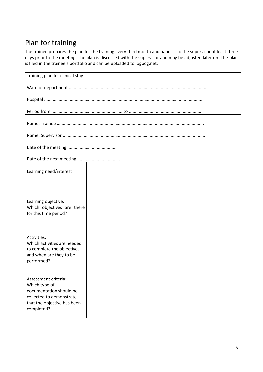# <span id="page-7-0"></span>Plan for training

The trainee prepares the plan for the training every third month and hands it to the supervisor at least three days prior to the meeting. The plan is discussed with the supervisor and may be adjusted later on. The plan is filed in the trainee's portfolio and can be uploaded to logbog.net.

| Training plan for clinical stay                                                                                                           |  |
|-------------------------------------------------------------------------------------------------------------------------------------------|--|
|                                                                                                                                           |  |
|                                                                                                                                           |  |
|                                                                                                                                           |  |
|                                                                                                                                           |  |
|                                                                                                                                           |  |
|                                                                                                                                           |  |
|                                                                                                                                           |  |
| Learning need/interest                                                                                                                    |  |
|                                                                                                                                           |  |
| Learning objective:<br>Which objectives are there<br>for this time period?                                                                |  |
| Activities:<br>Which activities are needed<br>to complete the objective,<br>and when are they to be<br>performed?                         |  |
| Assessment criteria:<br>Which type of<br>documentation should be<br>collected to demonstrate<br>that the objective has been<br>completed? |  |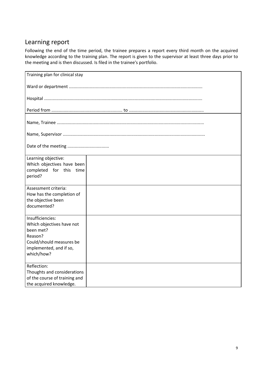# <span id="page-8-0"></span>Learning report

Following the end of the time period, the trainee prepares a report every third month on the acquired knowledge according to the training plan. The report is given to the supervisor at least three days prior to the meeting and is then discussed. Is filed in the trainee's portfolio.

| Training plan for clinical stay                       |  |
|-------------------------------------------------------|--|
|                                                       |  |
|                                                       |  |
|                                                       |  |
|                                                       |  |
|                                                       |  |
|                                                       |  |
|                                                       |  |
|                                                       |  |
| Learning objective:                                   |  |
| Which objectives have been<br>completed for this time |  |
| period?                                               |  |
|                                                       |  |
| Assessment criteria:                                  |  |
| How has the completion of                             |  |
| the objective been<br>documented?                     |  |
|                                                       |  |
| Insufficiencies:                                      |  |
| Which objectives have not                             |  |
| been met?<br>Reason?                                  |  |
| Could/should measures be                              |  |
| implemented, and if so,                               |  |
| which/how?                                            |  |
| Reflection:                                           |  |
| Thoughts and considerations                           |  |
| of the course of training and                         |  |
| the acquired knowledge.                               |  |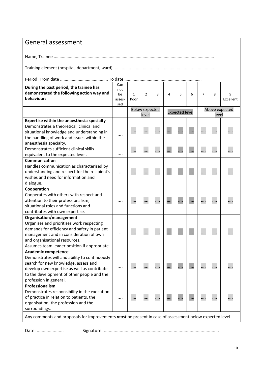<span id="page-9-0"></span>

| General assessment                                                                                                                                                                                                                              |                                   |                      |                                |   |   |                       |   |                |       |                |
|-------------------------------------------------------------------------------------------------------------------------------------------------------------------------------------------------------------------------------------------------|-----------------------------------|----------------------|--------------------------------|---|---|-----------------------|---|----------------|-------|----------------|
|                                                                                                                                                                                                                                                 |                                   |                      |                                |   |   |                       |   |                |       |                |
|                                                                                                                                                                                                                                                 |                                   |                      |                                |   |   |                       |   |                |       |                |
|                                                                                                                                                                                                                                                 |                                   |                      |                                |   |   |                       |   |                |       |                |
| During the past period, the trainee has<br>demonstrated the following action way and<br>behaviour:                                                                                                                                              | Can<br>not<br>be<br>asses-<br>sed | $\mathbf{1}$<br>Poor | $\overline{2}$                 | 3 | 4 | 5                     | 6 | $\overline{7}$ | 8     | 9<br>Excellent |
|                                                                                                                                                                                                                                                 |                                   |                      | <b>Below expected</b><br>level |   |   | <b>Expected level</b> |   |                | level | Above expected |
| Expertise within the anaesthesia specialty<br>Demonstrates a theoretical, clinical and<br>situational knowledge and understanding in<br>the handling of work and issues within the<br>anaesthesia specialty.                                    |                                   |                      |                                |   |   |                       |   |                |       |                |
| Demonstrates sufficient clinical skills<br>equivalent to the expected level.                                                                                                                                                                    |                                   |                      |                                |   |   |                       |   |                |       |                |
| Communication<br>Handles communication as characterised by<br>understanding and respect for the recipient's<br>wishes and need for information and<br>dialogue.                                                                                 |                                   |                      |                                |   |   |                       |   |                |       |                |
| Cooperation<br>Cooperates with others with respect and<br>attention to their professionalism,<br>situational roles and functions and<br>contributes with own expertise.                                                                         |                                   |                      |                                |   |   |                       |   |                |       |                |
| Organisation/management<br>Organises and prioritises work respecting<br>demands for efficiency and safety in patient<br>management and in consideration of own<br>and organisational resources.<br>Assumes team leader position if appropriate. |                                   |                      |                                |   |   |                       |   |                |       |                |
| <b>Academic competence</b><br>Demonstrates will and ability to continuously<br>search for new knowledge, assess and<br>develop own expertise as well as contribute<br>to the development of other people and the<br>profession in general.      |                                   |                      |                                |   |   |                       |   |                |       |                |
| Professionalism<br>Demonstrates responsibility in the execution<br>of practice in relation to patients, the<br>organisation, the profession and the<br>surroundings.                                                                            |                                   |                      |                                |   |   |                       |   |                |       |                |
| Any comments and proposals for improvements must be present in case of assessment below expected level                                                                                                                                          |                                   |                      |                                |   |   |                       |   |                |       |                |

Date: ...................... Signature: ..............................................................................................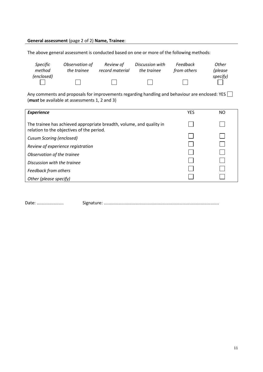#### **General assessment** (page 2 of 2) **Name, Trainee**:

The above general assessment is conducted based on one or more of the following methods:

| Specific   | Observation of | Review of       | Discussion with | Feedback    | Other    |
|------------|----------------|-----------------|-----------------|-------------|----------|
| method     | the trainee    | record material | the trainee     | from others | (please  |
| (enclosed) |                |                 |                 |             | specify) |

Any comments and proposals for improvements regarding handling and behaviour are enclosed: YES  $\Box$ (*must* be available at assessments 1, 2 and 3)

| <b>Experience</b>                                                                                                 | <b>YES</b> | NO |
|-------------------------------------------------------------------------------------------------------------------|------------|----|
| The trainee has achieved appropriate breadth, volume, and quality in<br>relation to the objectives of the period. |            |    |
| Cusum Scoring (enclosed)                                                                                          |            |    |
| Review of experience registration                                                                                 |            |    |
| Observation of the trainee                                                                                        |            |    |
| Discussion with the trainee                                                                                       |            |    |
| Feedback from others                                                                                              |            |    |
| Other (please specify)                                                                                            |            |    |

Date: ...................... Signature: ..............................................................................................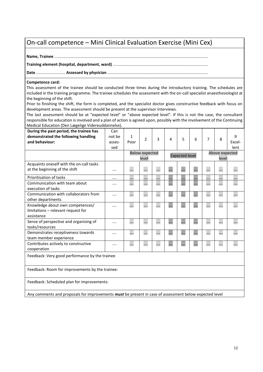### <span id="page-11-0"></span>On-call competence – Mini Clinical Evaluation Exercise (Mini Cex)

**Name, Trainee** ..........................................................................................................................................

**Training element (hospital, department, ward)** .....................................................................................

**Date** .......................... **Assessed by physician** ..........................................................................................

#### **Competence card:**

This assessment of the trainee should be conducted three times during the introductory training. The schedules are included in the training programme. The trainee schedules the assessment with the on-call specialist anaesthesiologist at the beginning of the shift.

Prior to finishing the shift, the form is completed, and the specialist doctor gives constructive feedback with focus on development areas. The assessment should be present at the supervisor interviews.

The last assessment should be at "expected level" or "above expected level". If this is not the case, the consultant responsible for education is involved and a plan of action is agreed upon, possibly with the involvement of the Continuing Medical Education (Den Lægelige Videreuddannelse).

| During the past period, the trainee has<br>demonstrated the following handling<br>and behaviour:  | Can<br>not be<br>asses-<br>sed | 1<br>Poor | $\mathfrak{p}$                 | 3 | 4 | 5                     | 6 | $\overline{7}$ | 8                       | 9<br>Excel-<br>lent |
|---------------------------------------------------------------------------------------------------|--------------------------------|-----------|--------------------------------|---|---|-----------------------|---|----------------|-------------------------|---------------------|
|                                                                                                   |                                |           | <b>Below expected</b><br>level |   |   | <b>Expected level</b> |   |                | Above expected<br>level |                     |
| Acquaints oneself with the on-call tasks<br>at the beginning of the shift                         |                                |           |                                |   |   |                       |   |                |                         |                     |
| Prioritisation of tasks                                                                           |                                | .         |                                | . |   | .                     | . |                |                         |                     |
| Communication with team about<br>execution of tasks                                               |                                |           |                                |   |   |                       |   |                |                         |                     |
| Communication with collaborators from<br>other departments                                        |                                |           |                                |   |   |                       |   |                |                         |                     |
| Knowledge about own competences/<br>limitations - relevant request for<br>assistance              |                                |           |                                |   |   |                       |   |                |                         |                     |
| Sense of perspective and organising of<br>tasks/resources                                         |                                |           |                                |   |   |                       |   |                |                         |                     |
| Demonstrates receptiveness towards<br>team member experience                                      |                                |           |                                |   |   |                       |   | .              |                         |                     |
| Contributes actively to constructive<br>cooperation                                               |                                |           |                                | . |   |                       |   |                |                         |                     |
| Feedback: Very good performance by the trainee<br>Feedback: Room for improvements by the trainee: |                                |           |                                |   |   |                       |   |                |                         |                     |

Feedback: Scheduled plan for improvements:

Any comments and proposals for improvements *must* be present in case of assessment below expected level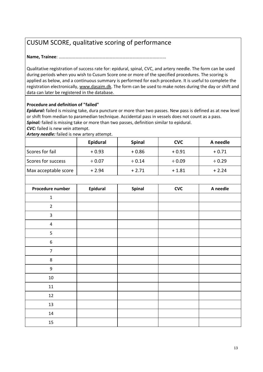# <span id="page-12-0"></span>CUSUM SCORE, qualitative scoring of performance

**Name, Trainee**: ……………………………………………………………………………………

Qualitative registration of success rate for: epidural, spinal, CVC, and artery needle. The form can be used during periods when you wish to Cusum Score one or more of the specified procedures. The scoring is applied as below, and a continuous summary is performed for each procedure. It is useful to complete the registration electronically, [www.dasaim.dk.](http://www.dasaim.dk/) The form can be used to make notes during the day or shift and data can later be registered in the database.

#### **Procedure and definition of "failed"**

*Epidural:* failed is missing take, dura puncture or more than two passes. New pass is defined as at new level or shift from median to paramedian technique. Accidental pass in vessels does not count as a pass. *Spinal:* failed is missing take or more than two passes, definition similar to epidural.

*CVC:* failed is new vein attempt.

*Artery needle:* failed is new artery attempt.

|                      | Epidural    | <b>Spinal</b> | <b>CVC</b>  | A needle    |
|----------------------|-------------|---------------|-------------|-------------|
| Scores for fail      | $+0.93$     | $+0.86$       | $+0.91$     | $+0.71$     |
| Scores for success   | $\div 0.07$ | $\div 0.14$   | $\div 0.09$ | $\div 0.29$ |
| Max acceptable score | $+2.94$     | $+2.71$       | $+1.81$     | $+2.24$     |

| Procedure number | Epidural | Spinal | <b>CVC</b> | A needle |
|------------------|----------|--------|------------|----------|
| $\mathbf{1}$     |          |        |            |          |
| $\overline{2}$   |          |        |            |          |
| $\mathsf{3}$     |          |        |            |          |
| $\pmb{4}$        |          |        |            |          |
| 5                |          |        |            |          |
| $\boldsymbol{6}$ |          |        |            |          |
| $\overline{7}$   |          |        |            |          |
| $\,8\,$          |          |        |            |          |
| $\boldsymbol{9}$ |          |        |            |          |
| $10\,$           |          |        |            |          |
| 11               |          |        |            |          |
| 12               |          |        |            |          |
| 13               |          |        |            |          |
| 14               |          |        |            |          |
| 15               |          |        |            |          |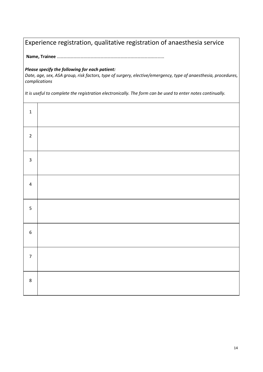# <span id="page-13-0"></span>Experience registration, qualitative registration of anaesthesia service

**Name, Trainee** ……………………………………………………………………………………

#### *Please specify the following for each patient:*

*Date, age, sex, ASA group, risk factors, type of surgery, elective/emergency, type of anaesthesia, procedures, complications*

*It is useful to complete the registration electronically. The form can be used to enter notes continually.*

| $\mathbf{1}$            |  |
|-------------------------|--|
| $\overline{2}$          |  |
| $\overline{\mathbf{3}}$ |  |
| $\pmb{4}$               |  |
| 5                       |  |
| $\boldsymbol{6}$        |  |
| $\overline{7}$          |  |
| 8                       |  |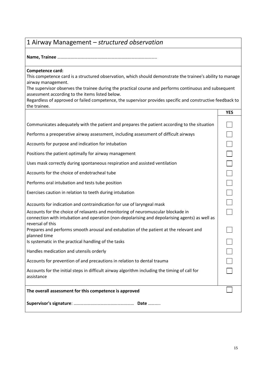# <span id="page-14-0"></span>1 Airway Management – *structured observation*

**Name, Trainee** ……………………………………………………………………………..

#### **Competence card:**

This competence card is a structured observation, which should demonstrate the trainee's ability to manage airway management.

The supervisor observes the trainee during the practical course and performs continuous and subsequent assessment according to the items listed below.

|                                                                                                                                                                                                        | <b>YES</b> |
|--------------------------------------------------------------------------------------------------------------------------------------------------------------------------------------------------------|------------|
| Communicates adequately with the patient and prepares the patient according to the situation                                                                                                           |            |
| Performs a preoperative airway assessment, including assessment of difficult airways                                                                                                                   |            |
| Accounts for purpose and indication for intubation                                                                                                                                                     |            |
| Positions the patient optimally for airway management                                                                                                                                                  |            |
| Uses mask correctly during spontaneous respiration and assisted ventilation                                                                                                                            |            |
| Accounts for the choice of endotracheal tube                                                                                                                                                           |            |
| Performs oral intubation and tests tube position                                                                                                                                                       |            |
| Exercises caution in relation to teeth during intubation                                                                                                                                               |            |
| Accounts for indication and contraindication for use of laryngeal mask                                                                                                                                 |            |
| Accounts for the choice of relaxants and monitoring of neuromuscular blockade in<br>connection with intubation and operation (non-depolarising and depolarising agents) as well as<br>reversal of this |            |
| Prepares and performs smooth arousal and extubation of the patient at the relevant and<br>planned time                                                                                                 |            |
| Is systematic in the practical handling of the tasks                                                                                                                                                   |            |
| Handles medication and utensils orderly                                                                                                                                                                |            |
| Accounts for prevention of and precautions in relation to dental trauma                                                                                                                                |            |
| Accounts for the initial steps in difficult airway algorithm including the timing of call for<br>assistance                                                                                            |            |
| The overall assessment for this competence is approved                                                                                                                                                 |            |
|                                                                                                                                                                                                        |            |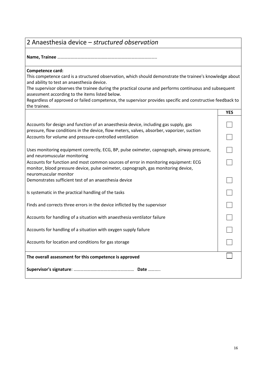### <span id="page-15-0"></span>2 Anaesthesia device – *structured observation*

**Name, Trainee** ……………………………………………………………………………..

#### **Competence card:**

This competence card is a structured observation, which should demonstrate the trainee's knowledge about and ability to test an anaesthesia device.

The supervisor observes the trainee during the practical course and performs continuous and subsequent assessment according to the items listed below.

|                                                                                                                                                                                                                                                                                                         | <b>YES</b> |
|---------------------------------------------------------------------------------------------------------------------------------------------------------------------------------------------------------------------------------------------------------------------------------------------------------|------------|
| Accounts for design and function of an anaesthesia device, including gas supply, gas<br>pressure, flow conditions in the device, flow meters, valves, absorber, vaporizer, suction<br>Accounts for volume and pressure-controlled ventilation                                                           |            |
| Uses monitoring equipment correctly, ECG, BP, pulse oximeter, capnograph, airway pressure,<br>and neuromuscular monitoring<br>Accounts for function and most common sources of error in monitoring equipment: ECG<br>monitor, blood pressure device, pulse oximeter, capnograph, gas monitoring device, |            |
| neuromuscular monitor<br>Demonstrates sufficient test of an anaesthesia device                                                                                                                                                                                                                          |            |
| Is systematic in the practical handling of the tasks                                                                                                                                                                                                                                                    |            |
| Finds and corrects three errors in the device inflicted by the supervisor                                                                                                                                                                                                                               |            |
| Accounts for handling of a situation with anaesthesia ventilator failure                                                                                                                                                                                                                                |            |
| Accounts for handling of a situation with oxygen supply failure                                                                                                                                                                                                                                         |            |
| Accounts for location and conditions for gas storage                                                                                                                                                                                                                                                    |            |
| The overall assessment for this competence is approved                                                                                                                                                                                                                                                  |            |
|                                                                                                                                                                                                                                                                                                         |            |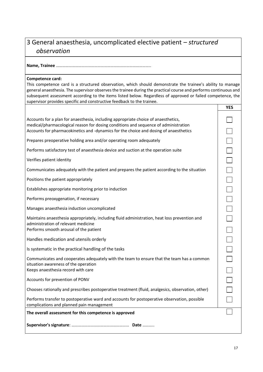# <span id="page-16-0"></span>3 General anaesthesia, uncomplicated elective patient – *structured observation*

**Name, Trainee** ……………………………………………………………………………..

#### **Competence card:**

This competence card is a structured observation, which should demonstrate the trainee's ability to manage general anaesthesia. The supervisor observes the trainee during the practical course and performs continuous and subsequent assessment according to the items listed below. Regardless of approved or failed competence, the supervisor provides specific and constructive feedback to the trainee.

|                                                                                                                                                                                | <b>YES</b> |
|--------------------------------------------------------------------------------------------------------------------------------------------------------------------------------|------------|
| Accounts for a plan for anaesthesia, including appropriate choice of anaesthetics,<br>medical/pharmacological reason for dosing conditions and sequence of administration      |            |
| Accounts for pharmacokinetics and -dynamics for the choice and dosing of anaesthetics                                                                                          |            |
| Prepares preoperative holding area and/or operating room adequately                                                                                                            |            |
| Performs satisfactory test of anaesthesia device and suction at the operation suite                                                                                            |            |
| Verifies patient identity                                                                                                                                                      |            |
| Communicates adequately with the patient and prepares the patient according to the situation                                                                                   |            |
| Positions the patient appropriately                                                                                                                                            |            |
| Establishes appropriate monitoring prior to induction                                                                                                                          |            |
| Performs preoxygenation, if necessary                                                                                                                                          |            |
| Manages anaesthesia induction uncomplicated                                                                                                                                    |            |
| Maintains anaesthesia appropriately, including fluid administration, heat loss prevention and<br>administration of relevant medicine<br>Performs smooth arousal of the patient |            |
|                                                                                                                                                                                |            |
| Handles medication and utensils orderly                                                                                                                                        |            |
| Is systematic in the practical handling of the tasks                                                                                                                           |            |
| Communicates and cooperates adequately with the team to ensure that the team has a common<br>situation awareness of the operation                                              |            |
| Keeps anaesthesia record with care                                                                                                                                             |            |
| Accounts for prevention of PONV                                                                                                                                                |            |
| Chooses rationally and prescribes postoperative treatment (fluid, analgesics, observation, other)                                                                              |            |
| Performs transfer to postoperative ward and accounts for postoperative observation, possible<br>complications and planned pain management                                      |            |
| The overall assessment for this competence is approved                                                                                                                         |            |
|                                                                                                                                                                                |            |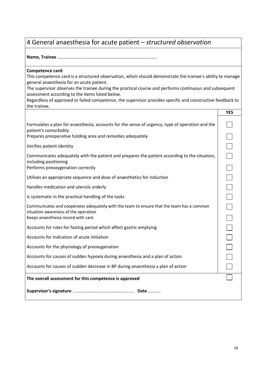## <span id="page-17-0"></span>4 General anaesthesia for acute patient – *structured observation*

**Name, Trainee** ……………………………………………………………………………..

#### **Competence card:**

This competence card is a structured observation, which should demonstrate the trainee's ability to manage general anaesthesia for an acute patient.

The supervisor observes the trainee during the practical course and performs continuous and subsequent assessment according to the items listed below.

|                                                                                                                                                                                        | <b>YES</b> |
|----------------------------------------------------------------------------------------------------------------------------------------------------------------------------------------|------------|
| Formulates a plan for anaesthesia, accounts for the sense of urgency, type of operation and the<br>patient's comorbidity<br>Prepares preoperative holding area and remedies adequately |            |
| Verifies patient identity                                                                                                                                                              |            |
| Communicates adequately with the patient and prepares the patient according to the situation,<br>including positioning<br>Performs preoxygenation correctly                            |            |
| Utilises an appropriate sequence and dose of anaesthetics for induction                                                                                                                |            |
| Handles medication and utensils orderly                                                                                                                                                |            |
| Is systematic in the practical handling of the tasks                                                                                                                                   |            |
| Communicates and cooperates adequately with the team to ensure that the team has a common<br>situation awareness of the operation<br>Keeps anaesthesia record with care                |            |
| Accounts for rules for fasting period which affect gastric emptying                                                                                                                    |            |
| Accounts for indication of acute initiation                                                                                                                                            |            |
| Accounts for the physiology of preoxygenation                                                                                                                                          |            |
| Accounts for causes of sudden hypoxia during anaesthesia and a plan of action                                                                                                          |            |
| Accounts for causes of sudden decrease in BP during anaesthesia a plan of action                                                                                                       |            |
| The overall assessment for this competence is approved                                                                                                                                 |            |
|                                                                                                                                                                                        |            |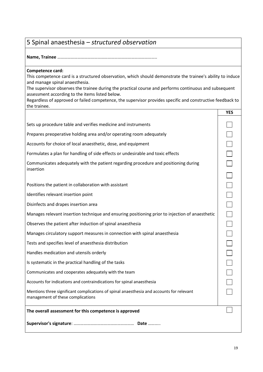# <span id="page-18-0"></span>5 Spinal anaesthesia – *structured observation*

**Name, Trainee** ……………………………………………………………………………..

#### **Competence card:**

This competence card is a structured observation, which should demonstrate the trainee's ability to induce and manage spinal anaesthesia.

The supervisor observes the trainee during the practical course and performs continuous and subsequent assessment according to the items listed below.

|                                                                                                                               | <b>YES</b> |
|-------------------------------------------------------------------------------------------------------------------------------|------------|
| Sets up procedure table and verifies medicine and instruments                                                                 |            |
| Prepares preoperative holding area and/or operating room adequately                                                           |            |
| Accounts for choice of local anaesthetic, dose, and equipment                                                                 |            |
| Formulates a plan for handling of side effects or undesirable and toxic effects                                               |            |
| Communicates adequately with the patient regarding procedure and positioning during<br>insertion                              |            |
|                                                                                                                               |            |
| Positions the patient in collaboration with assistant                                                                         |            |
| Identifies relevant insertion point                                                                                           |            |
| Disinfects and drapes insertion area                                                                                          |            |
| Manages relevant insertion technique and ensuring positioning prior to injection of anaesthetic                               |            |
| Observes the patient after induction of spinal anaesthesia                                                                    |            |
| Manages circulatory support measures in connection with spinal anaesthesia                                                    |            |
| Tests and specifies level of anaesthesia distribution                                                                         |            |
| Handles medication and utensils orderly                                                                                       |            |
| Is systematic in the practical handling of the tasks                                                                          |            |
| Communicates and cooperates adequately with the team                                                                          |            |
| Accounts for indications and contraindications for spinal anaesthesia                                                         |            |
| Mentions three significant complications of spinal anaesthesia and accounts for relevant<br>management of these complications |            |
| The overall assessment for this competence is approved                                                                        |            |
|                                                                                                                               |            |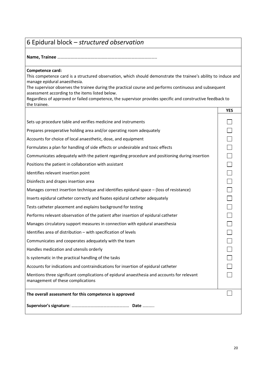# <span id="page-19-0"></span>6 Epidural block – *structured observation*

### **Name, Trainee** ……………………………………………………………………………..

#### **Competence card:**

This competence card is a structured observation, which should demonstrate the trainee's ability to induce and manage epidural anaesthesia.

The supervisor observes the trainee during the practical course and performs continuous and subsequent assessment according to the items listed below.

| Regardless of approved or failed competence, the supervisor provides specific and constructive feedback to |
|------------------------------------------------------------------------------------------------------------|
| the trainee.                                                                                               |

|                                                                                                                                 | <b>YES</b> |
|---------------------------------------------------------------------------------------------------------------------------------|------------|
| Sets up procedure table and verifies medicine and instruments                                                                   |            |
| Prepares preoperative holding area and/or operating room adequately                                                             |            |
| Accounts for choice of local anaesthetic, dose, and equipment                                                                   |            |
| Formulates a plan for handling of side effects or undesirable and toxic effects                                                 |            |
| Communicates adequately with the patient regarding procedure and positioning during insertion                                   |            |
| Positions the patient in collaboration with assistant                                                                           |            |
| Identifies relevant insertion point                                                                                             |            |
| Disinfects and drapes insertion area                                                                                            |            |
| Manages correct insertion technique and identifies epidural space - (loss of resistance)                                        |            |
| Inserts epidural catheter correctly and fixates epidural catheter adequately                                                    |            |
| Tests catheter placement and explains background for testing                                                                    |            |
| Performs relevant observation of the patient after insertion of epidural catheter                                               |            |
| Manages circulatory support measures in connection with epidural anaesthesia                                                    |            |
| Identifies area of distribution - with specification of levels                                                                  |            |
| Communicates and cooperates adequately with the team                                                                            |            |
| Handles medication and utensils orderly                                                                                         |            |
| Is systematic in the practical handling of the tasks                                                                            |            |
| Accounts for indications and contraindications for insertion of epidural catheter                                               |            |
| Mentions three significant complications of epidural anaesthesia and accounts for relevant<br>management of these complications |            |
| The overall assessment for this competence is approved                                                                          |            |
|                                                                                                                                 |            |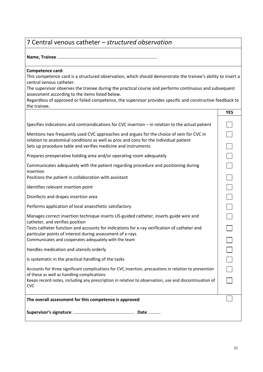### <span id="page-20-0"></span>7 Central venous catheter – *structured observation*

**Name, Trainee** ……………………………………………………………………………..

#### **Competence card:**

This competence card is a structured observation, which should demonstrate the trainee's ability to insert a central venous catheter.

The supervisor observes the trainee during the practical course and performs continuous and subsequent assessment according to the items listed below.

|                                                                                                                                                          | <b>YES</b> |
|----------------------------------------------------------------------------------------------------------------------------------------------------------|------------|
| Specifies indications and contraindications for CVC insertion - in relation to the actual patient                                                        |            |
| Mentions two frequently used CVC approaches and argues for the choice of vein for CVC in                                                                 |            |
| relation to anatomical conditions as well as pros and cons for the individual patient<br>Sets up procedure table and verifies medicine and instruments   |            |
| Prepares preoperative holding area and/or operating room adequately                                                                                      |            |
| Communicates adequately with the patient regarding procedure and positioning during<br>insertion                                                         |            |
| Positions the patient in collaboration with assistant                                                                                                    |            |
| Identifies relevant insertion point                                                                                                                      |            |
| Disinfects and drapes insertion area                                                                                                                     |            |
| Performs application of local anaesthetic satisfactory                                                                                                   |            |
| Manages correct insertion technique inserts US-guided catheter, inserts guide wire and<br>catheter, and verifies position                                |            |
| Tests catheter function and accounts for indications for x-ray verification of catheter and<br>particular points of interest during assessment of x-rays |            |
| Communicates and cooperates adequately with the team                                                                                                     |            |
| Handles medication and utensils orderly                                                                                                                  |            |
| Is systematic in the practical handling of the tasks                                                                                                     |            |
| Accounts for three significant complications for CVC insertion, precautions in relation to prevention<br>of these as well as handling complications      |            |
| Keeps record notes, including any prescription in relation to observation, use and discontinuation of<br><b>CVC</b>                                      |            |
|                                                                                                                                                          |            |
| The overall assessment for this competence is approved                                                                                                   |            |
|                                                                                                                                                          |            |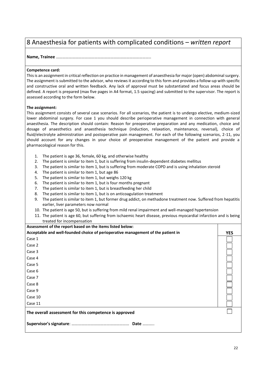### <span id="page-21-0"></span>8 Anaesthesia for patients with complicated conditions – *written report*

#### **Name, Trainee** ……………………………………………………………………………..

#### **Competence card:**

This is an assignment in critical reflection on practice in management of anaesthesia for major (open) abdominal surgery. The assignment is submitted to the advisor, who reviews it according to this form and provides a follow-up with specific and constructive oral and written feedback. Any lack of approval must be substantiated and focus areas should be defined. A report is prepared (max five pages in A4 format, 1.5 spacing) and submitted to the supervisor. The report is assessed according to the form below.

#### **The assignment:**

This assignment consists of several case scenarios. For all scenarios, the patient is to undergo elective, medium-sized lower abdominal surgery. For case 1 you should describe perioperative management in connection with general anaesthesia. The description should contain: Reason for preoperative preparation and any medication, choice and dosage of anaesthetics and anaesthesia technique (induction, relaxation, maintenance, reversal), choice of fluid/electrolyte administration and postoperative pain management. For each of the following scenarios, 2-11, you should account for any changes in your choice of preoperative management of the patient and provide a pharmacological reason for this.

- 1. The patient is age 36, female, 60 kg, and otherwise healthy
- 2. The patient is similar to item 1, but is suffering from insulin-dependent diabetes mellitus
- 3. The patient is similar to item 1, but is suffering from moderate COPD and is using inhalation steroid
- 4. The patient is similar to item 1, but age 86
- 5. The patient is similar to item 1, but weighs 120 kg
- 6. The patient is similar to item 1, but is four months pregnant
- 7. The patient is similar to item 1, but is breastfeeding her child
- 8. The patient is similar to item 1, but is on anticoagulation treatment
- 9. The patient is similar to item 1, but former drug addict, on methadone treatment now. Suffered from hepatitis earlier, liver parameters now normal
- 10. The patient is age 50, but is suffering from mild renal impairment and well-managed hypertension
- 11. The patient is age 60, but suffering from ischaemic heart disease, previous myocardial infarction and is being treated for incompensation

| Assessment of the report based on the items listed below:                        |            |
|----------------------------------------------------------------------------------|------------|
| Acceptable and well-founded choice of perioperative management of the patient in | <b>YES</b> |
| Case 1                                                                           |            |
| Case 2                                                                           |            |
| Case 3                                                                           |            |
| Case 4                                                                           |            |
| Case 5                                                                           |            |
| Case 6                                                                           |            |
| Case 7                                                                           |            |
| Case 8                                                                           |            |
| Case 9                                                                           |            |
| Case 10                                                                          |            |
| Case 11                                                                          |            |
| The overall assessment for this competence is approved                           |            |
|                                                                                  |            |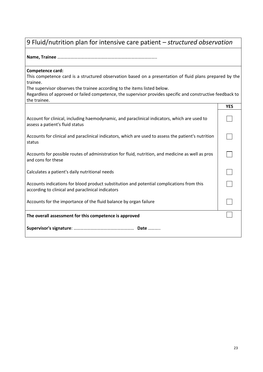# <span id="page-22-0"></span>9 Fluid/nutrition plan for intensive care patient – *structured observation*

**Name, Trainee** ……………………………………………………………………………..

#### **Competence card:**

This competence card is a structured observation based on a presentation of fluid plans prepared by the trainee.

The supervisor observes the trainee according to the items listed below.

|                                                                                                                                                | <b>YES</b> |
|------------------------------------------------------------------------------------------------------------------------------------------------|------------|
| Account for clinical, including haemodynamic, and paraclinical indicators, which are used to<br>assess a patient's fluid status                |            |
| Accounts for clinical and paraclinical indicators, which are used to assess the patient's nutrition<br>status                                  |            |
| Accounts for possible routes of administration for fluid, nutrition, and medicine as well as pros<br>and cons for these                        |            |
| Calculates a patient's daily nutritional needs                                                                                                 |            |
| Accounts indications for blood product substitution and potential complications from this<br>according to clinical and paraclinical indicators |            |
| Accounts for the importance of the fluid balance by organ failure                                                                              |            |
| The overall assessment for this competence is approved                                                                                         |            |
|                                                                                                                                                |            |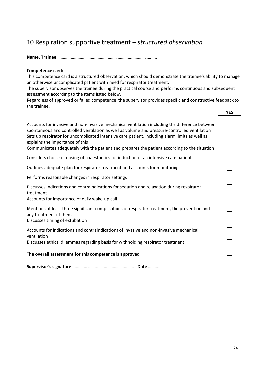# <span id="page-23-0"></span>10 Respiration supportive treatment – *structured observation*

**Name, Trainee** ……………………………………………………………………………..

#### **Competence card:**

This competence card is a structured observation, which should demonstrate the trainee's ability to manage an otherwise uncomplicated patient with need for respirator treatment.

The supervisor observes the trainee during the practical course and performs continuous and subsequent assessment according to the items listed below.

|                                                                                                                                                                                                                                                                                                                                                                                                                                     | <b>YES</b> |
|-------------------------------------------------------------------------------------------------------------------------------------------------------------------------------------------------------------------------------------------------------------------------------------------------------------------------------------------------------------------------------------------------------------------------------------|------------|
| Accounts for invasive and non-invasive mechanical ventilation including the difference between<br>spontaneous and controlled ventilation as well as volume and pressure-controlled ventilation<br>Sets up respirator for uncomplicated intensive care patient, including alarm limits as well as<br>explains the importance of this<br>Communicates adequately with the patient and prepares the patient according to the situation |            |
| Considers choice of dosing of anaesthetics for induction of an intensive care patient                                                                                                                                                                                                                                                                                                                                               |            |
| Outlines adequate plan for respirator treatment and accounts for monitoring                                                                                                                                                                                                                                                                                                                                                         |            |
| Performs reasonable changes in respirator settings                                                                                                                                                                                                                                                                                                                                                                                  |            |
| Discusses indications and contraindications for sedation and relaxation during respirator<br>treatment                                                                                                                                                                                                                                                                                                                              |            |
| Accounts for importance of daily wake-up call                                                                                                                                                                                                                                                                                                                                                                                       |            |
| Mentions at least three significant complications of respirator treatment, the prevention and<br>any treatment of them                                                                                                                                                                                                                                                                                                              |            |
| Discusses timing of extubation                                                                                                                                                                                                                                                                                                                                                                                                      |            |
| Accounts for indications and contraindications of invasive and non-invasive mechanical<br>ventilation                                                                                                                                                                                                                                                                                                                               |            |
| Discusses ethical dilemmas regarding basis for withholding respirator treatment                                                                                                                                                                                                                                                                                                                                                     |            |
| The overall assessment for this competence is approved                                                                                                                                                                                                                                                                                                                                                                              |            |
|                                                                                                                                                                                                                                                                                                                                                                                                                                     |            |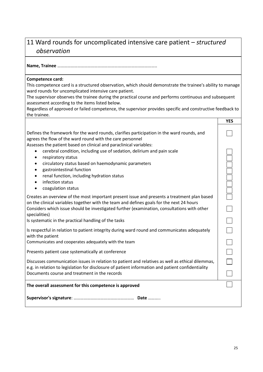# <span id="page-24-0"></span>11 Ward rounds for uncomplicated intensive care patient – *structured observation*

**Name, Trainee** ……………………………………………………………………………..

#### **Competence card:**

This competence card is a structured observation, which should demonstrate the trainee's ability to manage ward rounds for uncomplicated intensive care patient.

The supervisor observes the trainee during the practical course and performs continuous and subsequent assessment according to the items listed below.

|                                                                                                                                                                                                                                                                                                                                                                 | <b>YES</b> |
|-----------------------------------------------------------------------------------------------------------------------------------------------------------------------------------------------------------------------------------------------------------------------------------------------------------------------------------------------------------------|------------|
| Defines the framework for the ward rounds, clarifies participation in the ward rounds, and<br>agrees the flow of the ward round with the care personnel<br>Assesses the patient based on clinical and paraclinical variables:                                                                                                                                   |            |
| cerebral condition, including use of sedation, delirium and pain scale<br>respiratory status<br>$\bullet$<br>circulatory status based on haemodynamic parameters<br>$\bullet$<br>gastrointestinal function<br>$\bullet$<br>renal function, including hydration status<br>$\bullet$<br>infection status<br>$\bullet$<br>coagulation status                       |            |
| Creates an overview of the most important present issue and presents a treatment plan based<br>on the clinical variables together with the team and defines goals for the next 24 hours<br>Considers which issue should be investigated further (examination, consultations with other<br>specialities)<br>Is systematic in the practical handling of the tasks |            |
| Is respectful in relation to patient integrity during ward round and communicates adequately<br>with the patient<br>Communicates and cooperates adequately with the team                                                                                                                                                                                        |            |
| Presents patient case systematically at conference                                                                                                                                                                                                                                                                                                              |            |
| Discusses communication issues in relation to patient and relatives as well as ethical dilemmas,<br>e.g. in relation to legislation for disclosure of patient information and patient confidentiality                                                                                                                                                           |            |
| Documents course and treatment in the records                                                                                                                                                                                                                                                                                                                   |            |
| The overall assessment for this competence is approved                                                                                                                                                                                                                                                                                                          |            |
|                                                                                                                                                                                                                                                                                                                                                                 |            |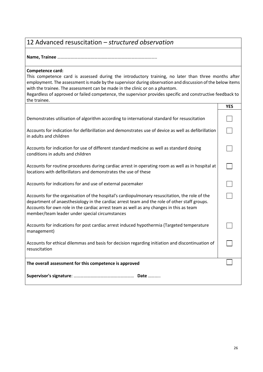### <span id="page-25-0"></span>12 Advanced resuscitation – *structured observation*

**Name, Trainee** ……………………………………………………………………………..

#### **Competence card:**

This competence card is assessed during the introductory training, no later than three months after employment. The assessment is made by the supervisor during observation and discussion of the below items with the trainee. The assessment can be made in the clinic or on a phantom.

|                                                                                                                                                                                                                                                                                                                                             | <b>YES</b> |
|---------------------------------------------------------------------------------------------------------------------------------------------------------------------------------------------------------------------------------------------------------------------------------------------------------------------------------------------|------------|
| Demonstrates utilisation of algorithm according to international standard for resuscitation                                                                                                                                                                                                                                                 |            |
| Accounts for indication for defibrillation and demonstrates use of device as well as defibrillation<br>in adults and children                                                                                                                                                                                                               |            |
| Accounts for indication for use of different standard medicine as well as standard dosing<br>conditions in adults and children                                                                                                                                                                                                              |            |
| Accounts for routine procedures during cardiac arrest in operating room as well as in hospital at<br>locations with defibrillators and demonstrates the use of these                                                                                                                                                                        |            |
| Accounts for indications for and use of external pacemaker                                                                                                                                                                                                                                                                                  |            |
| Accounts for the organisation of the hospital's cardiopulmonary resuscitation, the role of the<br>department of anaesthesiology in the cardiac arrest team and the role of other staff groups.<br>Accounts for own role in the cardiac arrest team as well as any changes in this as team<br>member/team leader under special circumstances |            |
| Accounts for indications for post cardiac arrest induced hypothermia (Targeted temperature<br>management)                                                                                                                                                                                                                                   |            |
| Accounts for ethical dilemmas and basis for decision regarding initiation and discontinuation of<br>resuscitation                                                                                                                                                                                                                           |            |
| The overall assessment for this competence is approved                                                                                                                                                                                                                                                                                      |            |
|                                                                                                                                                                                                                                                                                                                                             |            |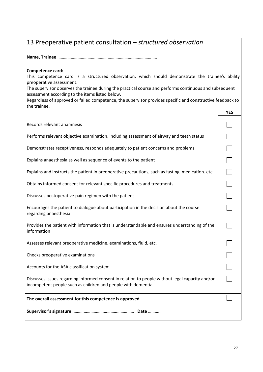# <span id="page-26-0"></span>13 Preoperative patient consultation – *structured observation*

**Name, Trainee** ……………………………………………………………………………..

#### **Competence card:**

This competence card is a structured observation, which should demonstrate the trainee's ability preoperative assessment.

The supervisor observes the trainee during the practical course and performs continuous and subsequent assessment according to the items listed below.

|                                                                                                                                                                 | <b>YES</b> |
|-----------------------------------------------------------------------------------------------------------------------------------------------------------------|------------|
| Records relevant anamnesis                                                                                                                                      |            |
| Performs relevant objective examination, including assessment of airway and teeth status                                                                        |            |
| Demonstrates receptiveness, responds adequately to patient concerns and problems                                                                                |            |
| Explains anaesthesia as well as sequence of events to the patient                                                                                               |            |
| Explains and instructs the patient in preoperative precautions, such as fasting, medication. etc.                                                               |            |
| Obtains informed consent for relevant specific procedures and treatments                                                                                        |            |
| Discusses postoperative pain regimen with the patient                                                                                                           |            |
| Encourages the patient to dialogue about participation in the decision about the course<br>regarding anaesthesia                                                |            |
| Provides the patient with information that is understandable and ensures understanding of the<br>information                                                    |            |
| Assesses relevant preoperative medicine, examinations, fluid, etc.                                                                                              |            |
| Checks preoperative examinations                                                                                                                                |            |
| Accounts for the ASA classification system                                                                                                                      |            |
| Discusses issues regarding informed consent in relation to people without legal capacity and/or<br>incompetent people such as children and people with dementia |            |
| The overall assessment for this competence is approved                                                                                                          |            |
|                                                                                                                                                                 |            |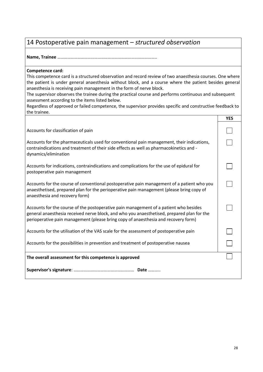### <span id="page-27-0"></span>14 Postoperative pain management – *structured observation*

**Name, Trainee** ……………………………………………………………………………..

#### **Competence card:**

This competence card is a structured observation and record review of two anaesthesia courses. One where the patient is under general anaesthesia without block, and a course where the patient besides general anaesthesia is receiving pain management in the form of nerve block.

The supervisor observes the trainee during the practical course and performs continuous and subsequent assessment according to the items listed below.

|                                                                                                                                                                                                                                                                           | <b>YES</b> |
|---------------------------------------------------------------------------------------------------------------------------------------------------------------------------------------------------------------------------------------------------------------------------|------------|
| Accounts for classification of pain                                                                                                                                                                                                                                       |            |
| Accounts for the pharmaceuticals used for conventional pain management, their indications,<br>contraindications and treatment of their side effects as well as pharmacokinetics and -<br>dynamics/elimination                                                             |            |
| Accounts for indications, contraindications and complications for the use of epidural for<br>postoperative pain management                                                                                                                                                |            |
| Accounts for the course of conventional postoperative pain management of a patient who you<br>anaesthetised, prepared plan for the perioperative pain management (please bring copy of<br>anaesthesia and recovery form)                                                  |            |
| Accounts for the course of the postoperative pain management of a patient who besides<br>general anaesthesia received nerve block, and who you anaesthetised, prepared plan for the<br>perioperative pain management (please bring copy of anaesthesia and recovery form) |            |
| Accounts for the utilisation of the VAS scale for the assessment of postoperative pain                                                                                                                                                                                    |            |
| Accounts for the possibilities in prevention and treatment of postoperative nausea                                                                                                                                                                                        |            |
| The overall assessment for this competence is approved                                                                                                                                                                                                                    |            |
|                                                                                                                                                                                                                                                                           |            |